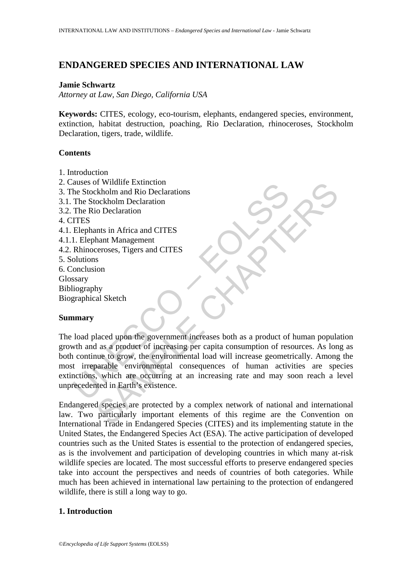# **ENDANGERED SPECIES AND INTERNATIONAL LAW**

### **Jamie Schwartz**

*Attorney at Law, San Diego, California USA* 

**Keywords:** CITES, ecology, eco-tourism, elephants, endangered species, environment, extinction, habitat destruction, poaching, Rio Declaration, rhinoceroses, Stockholm Declaration, tigers, trade, wildlife.

#### **Contents**

- 1. Introduction
- 2. Causes of Wildlife Extinction
- 3. The Stockholm and Rio Declarations
- 3.1. The Stockholm Declaration
- 3.2. The Rio Declaration
- 4. CITES
- 4.1. Elephants in Africa and CITES
- 4.1.1. Elephant Management
- 4.2. Rhinoceroses, Tigers and CITES
- 5. Solutions
- 6. Conclusion Glossary Bibliography Biographical Sketch

### **Summary**

Example Extinction<br>The Stockholm and Rio Declarations<br>The Stockholm and Rio Declaration<br>The Rio Declaration<br>The Rio Declaration<br>The Rio Declaration<br>The Rio Declaration<br>The Rio Declaration<br>The Rio Declaration<br>The Rio Declar If wildle Extinction<br>
Skellm and Rio Declarations<br>
cockholm Declaration<br>
in Africa and CITES<br>
shann Management<br>
shann Management<br>
shann Management<br>
shanned and CITES<br>
s<br>
shanned and CITES<br>
s<br>
and CITES<br>
s<br>
and CITES<br>
and C The load placed upon the government increases both as a product of human population growth and as a product of increasing per capita consumption of resources. As long as both continue to grow, the environmental load will increase geometrically. Among the most irreparable environmental consequences of human activities are species extinctions, which are occurring at an increasing rate and may soon reach a level unprecedented in Earth's existence.

Endangered species are protected by a complex network of national and international law. Two particularly important elements of this regime are the Convention on International Trade in Endangered Species (CITES) and its implementing statute in the United States, the Endangered Species Act (ESA). The active participation of developed countries such as the United States is essential to the protection of endangered species, as is the involvement and participation of developing countries in which many at-risk wildlife species are located. The most successful efforts to preserve endangered species take into account the perspectives and needs of countries of both categories. While much has been achieved in international law pertaining to the protection of endangered wildlife, there is still a long way to go.

## **1. Introduction**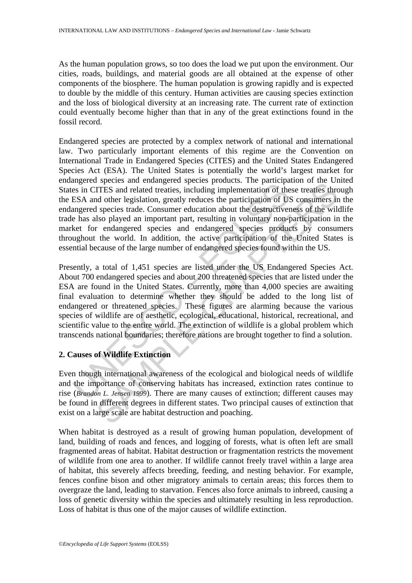As the human population grows, so too does the load we put upon the environment. Our cities, roads, buildings, and material goods are all obtained at the expense of other components of the biosphere. The human population is growing rapidly and is expected to double by the middle of this century. Human activities are causing species extinction and the loss of biological diversity at an increasing rate. The current rate of extinction could eventually become higher than that in any of the great extinctions found in the fossil record.

Endangered species are protected by a complex network of national and international law. Two particularly important elements of this regime are the Convention on International Trade in Endangered Species (CITES) and the United States Endangered Species Act (ESA). The United States is potentially the world's largest market for endangered species and endangered species products. The participation of the United States in CITES and related treaties, including implementation of these treaties through the ESA and other legislation, greatly reduces the participation of US consumers in the endangered species trade. Consumer education about the destructiveness of the wildlife trade has also played an important part, resulting in voluntary non-participation in the market for endangered species and endangered species products by consumers throughout the world. In addition, the active participation of the United States is essential because of the large number of endangered species found within the US.

ingliered species and containing the interaction of the interaction of the interaction of the interaction of the ESA and other legislation, greatly reduces the participation of U.S. and other legislation, greatly reduces spects and onlangered spects potation. The particular of the Critical and CHE of the particular and content of the term particular and charge in species trade. Consumer education about the destructiveness of the wilds pla Presently, a total of 1,451 species are listed under the US Endangered Species Act. About 700 endangered species and about 200 threatened species that are listed under the ESA are found in the United States. Currently, more than 4,000 species are awaiting final evaluation to determine whether they should be added to the long list of endangered or threatened species. These figures are alarming because the various species of wildlife are of aesthetic, ecological, educational, historical, recreational, and scientific value to the entire world. The extinction of wildlife is a global problem which transcends national boundaries; therefore nations are brought together to find a solution.

# **2. Causes of Wildlife Extinction**

Even though international awareness of the ecological and biological needs of wildlife and the importance of conserving habitats has increased, extinction rates continue to rise (*Brandon L. Jensen 1999*). There are many causes of extinction; different causes may be found in different degrees in different states. Two principal causes of extinction that exist on a large scale are habitat destruction and poaching.

When habitat is destroyed as a result of growing human population, development of land, building of roads and fences, and logging of forests, what is often left are small fragmented areas of habitat. Habitat destruction or fragmentation restricts the movement of wildlife from one area to another. If wildlife cannot freely travel within a large area of habitat, this severely affects breeding, feeding, and nesting behavior. For example, fences confine bison and other migratory animals to certain areas; this forces them to overgraze the land, leading to starvation. Fences also force animals to inbreed, causing a loss of genetic diversity within the species and ultimately resulting in less reproduction. Loss of habitat is thus one of the major causes of wildlife extinction.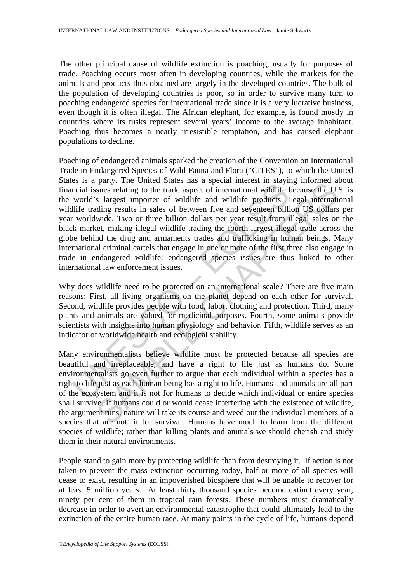The other principal cause of wildlife extinction is poaching, usually for purposes of trade. Poaching occurs most often in developing countries, while the markets for the animals and products thus obtained are largely in the developed countries. The bulk of the population of developing countries is poor, so in order to survive many turn to poaching endangered species for international trade since it is a very lucrative business, even though it is often illegal. The African elephant, for example, is found mostly in countries where its tusks represent several years' income to the average inhabitant. Poaching thus becomes a nearly irresistible temptation, and has caused elephant populations to decline.

Es a de party. The United States and solvent means a singular means and singlified to the trade aspect of international widdlife tworld's largest importer of wildlife and wildlife products. I llife trading results in sales pay; The Olitical states has a special innects in starting information<br>sues relating to the trade aspect of international wildlife because the U.<br>s largest importer of wildlife and wildlife products. Legal internati<br>ding r Poaching of endangered animals sparked the creation of the Convention on International Trade in Endangered Species of Wild Fauna and Flora ("CITES"), to which the United States is a party. The United States has a special interest in staying informed about financial issues relating to the trade aspect of international wildlife because the U.S. is the world's largest importer of wildlife and wildlife products. Legal international wildlife trading results in sales of between five and seventeen billion US dollars per year worldwide. Two or three billion dollars per year result from illegal sales on the black market, making illegal wildlife trading the fourth largest illegal trade across the globe behind the drug and armaments trades and trafficking in human beings. Many international criminal cartels that engage in one or more of the first three also engage in trade in endangered wildlife; endangered species issues are thus linked to other international law enforcement issues.

Why does wildlife need to be protected on an international scale? There are five main reasons: First, all living organisms on the planet depend on each other for survival. Second, wildlife provides people with food, labor, clothing and protection. Third, many plants and animals are valued for medicinal purposes. Fourth, some animals provide scientists with insights into human physiology and behavior. Fifth, wildlife serves as an indicator of worldwide health and ecological stability.

Many environmentalists believe wildlife must be protected because all species are beautiful and irreplaceable, and have a right to life just as humans do. Some environmentalists go even further to argue that each individual within a species has a right to life just as each human being has a right to life. Humans and animals are all part of the ecosystem and it is not for humans to decide which individual or entire species shall survive. If humans could or would cease interfering with the existence of wildlife, the argument runs, nature will take its course and weed out the individual members of a species that are not fit for survival. Humans have much to learn from the different species of wildlife; rather than killing plants and animals we should cherish and study them in their natural environments.

People stand to gain more by protecting wildlife than from destroying it. If action is not taken to prevent the mass extinction occurring today, half or more of all species will cease to exist, resulting in an impoverished biosphere that will be unable to recover for at least 5 million years. At least thirty thousand species become extinct every year, ninety per cent of them in tropical rain forests. These numbers must dramatically decrease in order to avert an environmental catastrophe that could ultimately lead to the extinction of the entire human race. At many points in the cycle of life, humans depend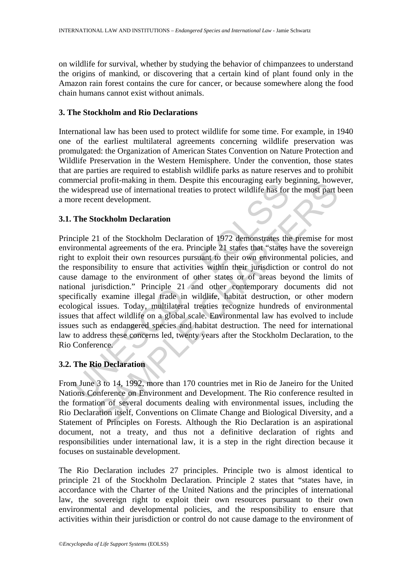on wildlife for survival, whether by studying the behavior of chimpanzees to understand the origins of mankind, or discovering that a certain kind of plant found only in the Amazon rain forest contains the cure for cancer, or because somewhere along the food chain humans cannot exist without animals.

## **3. The Stockholm and Rio Declarations**

International law has been used to protect wildlife for some time. For example, in 1940 one of the earliest multilateral agreements concerning wildlife preservation was promulgated: the Organization of American States Convention on Nature Protection and Wildlife Preservation in the Western Hemisphere. Under the convention, those states that are parties are required to establish wildlife parks as nature reserves and to prohibit commercial profit-making in them. Despite this encouraging early beginning, however, the widespread use of international treaties to protect wildlife has for the most part been a more recent development.

## **3.1. The Stockholm Declaration**

increase wideling in and in Everyto dimensional transfer and the subsequent in the Stockholm Declaration<br>
The Stockholm Declaration<br>
cripte 21 of the Stockholm Declaration<br>
cripte 21 of the Stockholm Declaration<br>
cripte 21 por-making in them. Exspire and scheduaging carry or<br>spiraling, movement and the Stockholm Declaration I reading the most part<br>and development.<br>The Stockholm Declaration of 1972 demonstrates the premise for the most part<br>a Principle 21 of the Stockholm Declaration of 1972 demonstrates the premise for most environmental agreements of the era. Principle 21 states that "states have the sovereign right to exploit their own resources pursuant to their own environmental policies, and the responsibility to ensure that activities within their jurisdiction or control do not cause damage to the environment of other states or of areas beyond the limits of national jurisdiction." Principle 21 and other contemporary documents did not specifically examine illegal trade in wildlife, habitat destruction, or other modern ecological issues. Today, multilateral treaties recognize hundreds of environmental issues that affect wildlife on a global scale. Environmental law has evolved to include issues such as endangered species and habitat destruction. The need for international law to address these concerns led, twenty years after the Stockholm Declaration, to the Rio Conference.

# **3.2. The Rio Declaration**

From June 3 to 14, 1992, more than 170 countries met in Rio de Janeiro for the United Nations Conference on Environment and Development. The Rio conference resulted in the formation of several documents dealing with environmental issues, including the Rio Declaration itself, Conventions on Climate Change and Biological Diversity, and a Statement of Principles on Forests. Although the Rio Declaration is an aspirational document, not a treaty, and thus not a definitive declaration of rights and responsibilities under international law, it is a step in the right direction because it focuses on sustainable development.

The Rio Declaration includes 27 principles. Principle two is almost identical to principle 21 of the Stockholm Declaration. Principle 2 states that "states have, in accordance with the Charter of the United Nations and the principles of international law, the sovereign right to exploit their own resources pursuant to their own environmental and developmental policies, and the responsibility to ensure that activities within their jurisdiction or control do not cause damage to the environment of